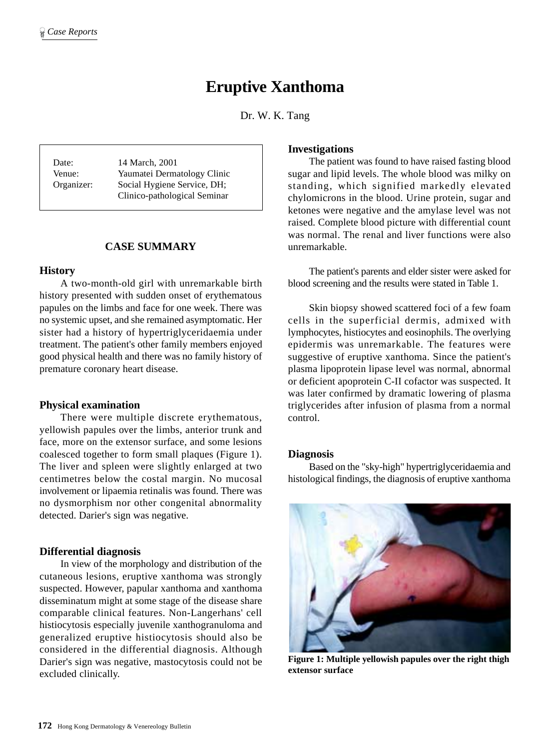# **Eruptive Xanthoma**

Dr. W. K. Tang

Date: 14 March, 2001 Venue: Yaumatei Dermatology Clinic Organizer: Social Hygiene Service, DH; Clinico-pathological Seminar

# **CASE SUMMARY**

#### **History**

A two-month-old girl with unremarkable birth history presented with sudden onset of erythematous papules on the limbs and face for one week. There was no systemic upset, and she remained asymptomatic. Her sister had a history of hypertriglyceridaemia under treatment. The patient's other family members enjoyed good physical health and there was no family history of premature coronary heart disease.

#### **Physical examination**

There were multiple discrete erythematous, yellowish papules over the limbs, anterior trunk and face, more on the extensor surface, and some lesions coalesced together to form small plaques (Figure 1). The liver and spleen were slightly enlarged at two centimetres below the costal margin. No mucosal involvement or lipaemia retinalis was found. There was no dysmorphism nor other congenital abnormality detected. Darier's sign was negative.

#### **Differential diagnosis**

In view of the morphology and distribution of the cutaneous lesions, eruptive xanthoma was strongly suspected. However, papular xanthoma and xanthoma disseminatum might at some stage of the disease share comparable clinical features. Non-Langerhans' cell histiocytosis especially juvenile xanthogranuloma and generalized eruptive histiocytosis should also be considered in the differential diagnosis. Although Darier's sign was negative, mastocytosis could not be excluded clinically.

#### **Investigations**

The patient was found to have raised fasting blood sugar and lipid levels. The whole blood was milky on standing, which signified markedly elevated chylomicrons in the blood. Urine protein, sugar and ketones were negative and the amylase level was not raised. Complete blood picture with differential count was normal. The renal and liver functions were also unremarkable.

The patient's parents and elder sister were asked for blood screening and the results were stated in Table 1.

Skin biopsy showed scattered foci of a few foam cells in the superficial dermis, admixed with lymphocytes, histiocytes and eosinophils. The overlying epidermis was unremarkable. The features were suggestive of eruptive xanthoma. Since the patient's plasma lipoprotein lipase level was normal, abnormal or deficient apoprotein C-II cofactor was suspected. It was later confirmed by dramatic lowering of plasma triglycerides after infusion of plasma from a normal control.

#### **Diagnosis**

Based on the "sky-high" hypertriglyceridaemia and histological findings, the diagnosis of eruptive xanthoma



**Figure 1: Multiple yellowish papules over the right thigh extensor surface**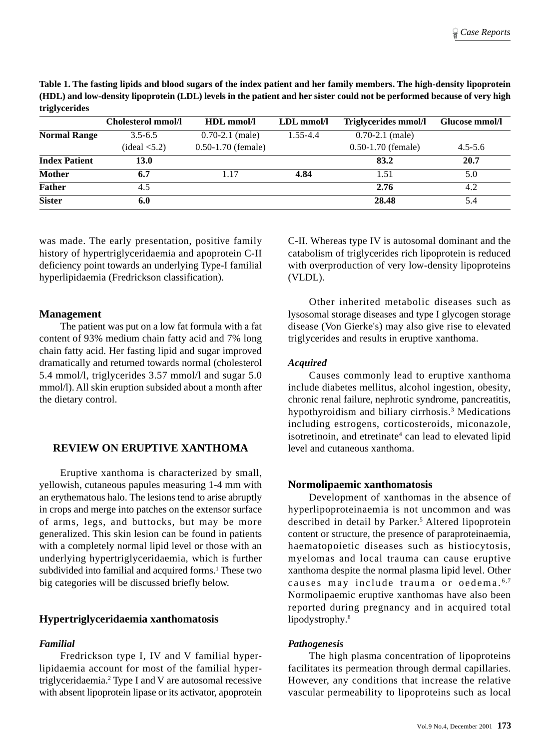**Table 1. The fasting lipids and blood sugars of the index patient and her family members. The high-density lipoprotein (HDL) and low-density lipoprotein (LDL) levels in the patient and her sister could not be performed because of very high triglycerides**

|                      | <b>Cholesterol mmol/l</b> | HDL mmol/l             | $LDL$ mmol/l | Triglycerides mmol/l | Glucose mmol/l |
|----------------------|---------------------------|------------------------|--------------|----------------------|----------------|
| <b>Normal Range</b>  | $3.5 - 6.5$               | $0.70 - 2.1$ (male)    | 1.55-4.4     | $0.70 - 2.1$ (male)  |                |
|                      | $(\text{ideal} < 5.2)$    | $0.50 - 1.70$ (female) |              | $0.50-1.70$ (female) | $4.5 - 5.6$    |
| <b>Index Patient</b> | <b>13.0</b>               |                        |              | 83.2                 | 20.7           |
| <b>Mother</b>        | 6.7                       | 1.17                   | 4.84         | 1.51                 | 5.0            |
| <b>Father</b>        | 4.5                       |                        |              | 2.76                 | 4.2            |
| <b>Sister</b>        | 6.0                       |                        |              | 28.48                | 5.4            |

was made. The early presentation, positive family history of hypertriglyceridaemia and apoprotein C-II deficiency point towards an underlying Type-I familial hyperlipidaemia (Fredrickson classification).

#### **Management**

The patient was put on a low fat formula with a fat content of 93% medium chain fatty acid and 7% long chain fatty acid. Her fasting lipid and sugar improved dramatically and returned towards normal (cholesterol 5.4 mmol/l, triglycerides 3.57 mmol/l and sugar 5.0 mmol/l). All skin eruption subsided about a month after the dietary control.

# **REVIEW ON ERUPTIVE XANTHOMA**

Eruptive xanthoma is characterized by small, yellowish, cutaneous papules measuring 1-4 mm with an erythematous halo. The lesions tend to arise abruptly in crops and merge into patches on the extensor surface of arms, legs, and buttocks, but may be more generalized. This skin lesion can be found in patients with a completely normal lipid level or those with an underlying hypertriglyceridaemia, which is further subdivided into familial and acquired forms.<sup>1</sup> These two big categories will be discussed briefly below.

# **Hypertriglyceridaemia xanthomatosis**

## *Familial*

Fredrickson type I, IV and V familial hyperlipidaemia account for most of the familial hypertriglyceridaemia.2 Type I and V are autosomal recessive with absent lipoprotein lipase or its activator, apoprotein C-II. Whereas type IV is autosomal dominant and the catabolism of triglycerides rich lipoprotein is reduced with overproduction of very low-density lipoproteins (VLDL).

Other inherited metabolic diseases such as lysosomal storage diseases and type I glycogen storage disease (Von Gierke's) may also give rise to elevated triglycerides and results in eruptive xanthoma.

### *Acquired*

Causes commonly lead to eruptive xanthoma include diabetes mellitus, alcohol ingestion, obesity, chronic renal failure, nephrotic syndrome, pancreatitis, hypothyroidism and biliary cirrhosis.<sup>3</sup> Medications including estrogens, corticosteroids, miconazole, isotretinoin, and etretinate<sup>4</sup> can lead to elevated lipid level and cutaneous xanthoma.

# **Normolipaemic xanthomatosis**

Development of xanthomas in the absence of hyperlipoproteinaemia is not uncommon and was described in detail by Parker.<sup>5</sup> Altered lipoprotein content or structure, the presence of paraproteinaemia, haematopoietic diseases such as histiocytosis, myelomas and local trauma can cause eruptive xanthoma despite the normal plasma lipid level. Other causes may include trauma or oedema.<sup>6,7</sup> Normolipaemic eruptive xanthomas have also been reported during pregnancy and in acquired total lipodystrophy.<sup>8</sup>

#### *Pathogenesis*

The high plasma concentration of lipoproteins facilitates its permeation through dermal capillaries. However, any conditions that increase the relative vascular permeability to lipoproteins such as local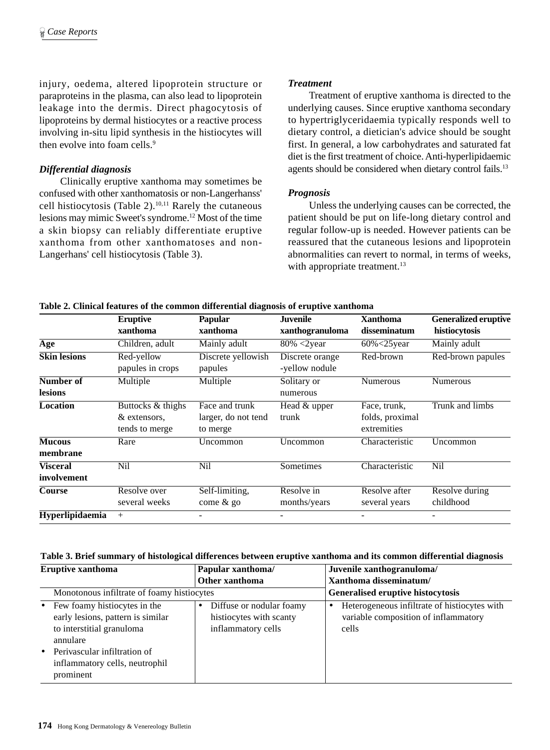injury, oedema, altered lipoprotein structure or paraproteins in the plasma, can also lead to lipoprotein leakage into the dermis. Direct phagocytosis of lipoproteins by dermal histiocytes or a reactive process involving in-situ lipid synthesis in the histiocytes will then evolve into foam cells.<sup>9</sup>

### *Differential diagnosis*

Clinically eruptive xanthoma may sometimes be confused with other xanthomatosis or non-Langerhanss' cell histiocytosis (Table 2).<sup>10,11</sup> Rarely the cutaneous lesions may mimic Sweet's syndrome.12 Most of the time a skin biopsy can reliably differentiate eruptive xanthoma from other xanthomatoses and non-Langerhans' cell histiocytosis (Table 3).

#### *Treatment*

Treatment of eruptive xanthoma is directed to the underlying causes. Since eruptive xanthoma secondary to hypertriglyceridaemia typically responds well to dietary control, a dietician's advice should be sought first. In general, a low carbohydrates and saturated fat diet is the first treatment of choice. Anti-hyperlipidaemic agents should be considered when dietary control fails.<sup>13</sup>

# *Prognosis*

Unless the underlying causes can be corrected, the patient should be put on life-long dietary control and regular follow-up is needed. However patients can be reassured that the cutaneous lesions and lipoprotein abnormalities can revert to normal, in terms of weeks, with appropriate treatment.<sup>13</sup>

|                     | <b>Eruptive</b><br>xanthoma | Papular<br>xanthoma | <b>Juvenile</b><br>xanthogranuloma | <b>Xanthoma</b><br>disseminatum | <b>Generalized eruptive</b><br>histiocytosis |
|---------------------|-----------------------------|---------------------|------------------------------------|---------------------------------|----------------------------------------------|
|                     |                             |                     |                                    |                                 |                                              |
| Age                 | Children, adult             | Mainly adult        | $80\% < 2$ year                    | $60\% < 25$ year                | Mainly adult                                 |
| <b>Skin lesions</b> | Red-yellow                  | Discrete yellowish  | Discrete orange                    | Red-brown                       | Red-brown papules                            |
|                     | papules in crops            | papules             | -yellow nodule                     |                                 |                                              |
| Number of           | Multiple                    | Multiple            | Solitary or                        | <b>Numerous</b>                 | <b>Numerous</b>                              |
| lesions             |                             |                     | numerous                           |                                 |                                              |
| Location            | Buttocks & thighs           | Face and trunk      | Head & upper                       | Face, trunk,                    | Trunk and limbs                              |
|                     | & extensors,                | larger, do not tend | trunk                              | folds, proximal                 |                                              |
|                     | tends to merge              | to merge            |                                    | extremities                     |                                              |
| <b>Mucous</b>       | Rare                        | Uncommon            | Uncommon                           | Characteristic                  | Uncommon                                     |
| membrane            |                             |                     |                                    |                                 |                                              |
| <b>Visceral</b>     | <b>Nil</b>                  | Nil                 | Sometimes                          | Characteristic                  | <b>Nil</b>                                   |
| involvement         |                             |                     |                                    |                                 |                                              |
| Course              | Resolve over                | Self-limiting,      | Resolve in                         | Resolve after                   | Resolve during                               |
|                     | several weeks               | come & go           | months/years                       | several years                   | childhood                                    |
| Hyperlipidaemia     | $+$                         |                     |                                    |                                 |                                              |

#### **Table 2. Clinical features of the common differential diagnosis of eruptive xanthoma**

|  |  | Table 3. Brief summary of histological differences between eruptive xanthoma and its common differential diagnosis |
|--|--|--------------------------------------------------------------------------------------------------------------------|
|--|--|--------------------------------------------------------------------------------------------------------------------|

| <b>Eruptive xanthoma</b>                                                                                                                                                                     | Papular xanthoma/                                                                      | Juvenile xanthogranuloma/                                                                                  |  |
|----------------------------------------------------------------------------------------------------------------------------------------------------------------------------------------------|----------------------------------------------------------------------------------------|------------------------------------------------------------------------------------------------------------|--|
|                                                                                                                                                                                              | Other xanthoma                                                                         | Xanthoma disseminatum/                                                                                     |  |
| Monotonous infiltrate of foamy histiocytes                                                                                                                                                   | Generalised eruptive histocytosis                                                      |                                                                                                            |  |
| • Few foamy histocytes in the<br>early lesions, pattern is similar<br>to interstitial granuloma<br>annulare<br>• Perivascular infiltration of<br>inflammatory cells, neutrophil<br>prominent | Diffuse or nodular foamy<br>$\bullet$<br>histiocytes with scanty<br>inflammatory cells | Heterogeneous infiltrate of histiocytes with<br>$\bullet$<br>variable composition of inflammatory<br>cells |  |